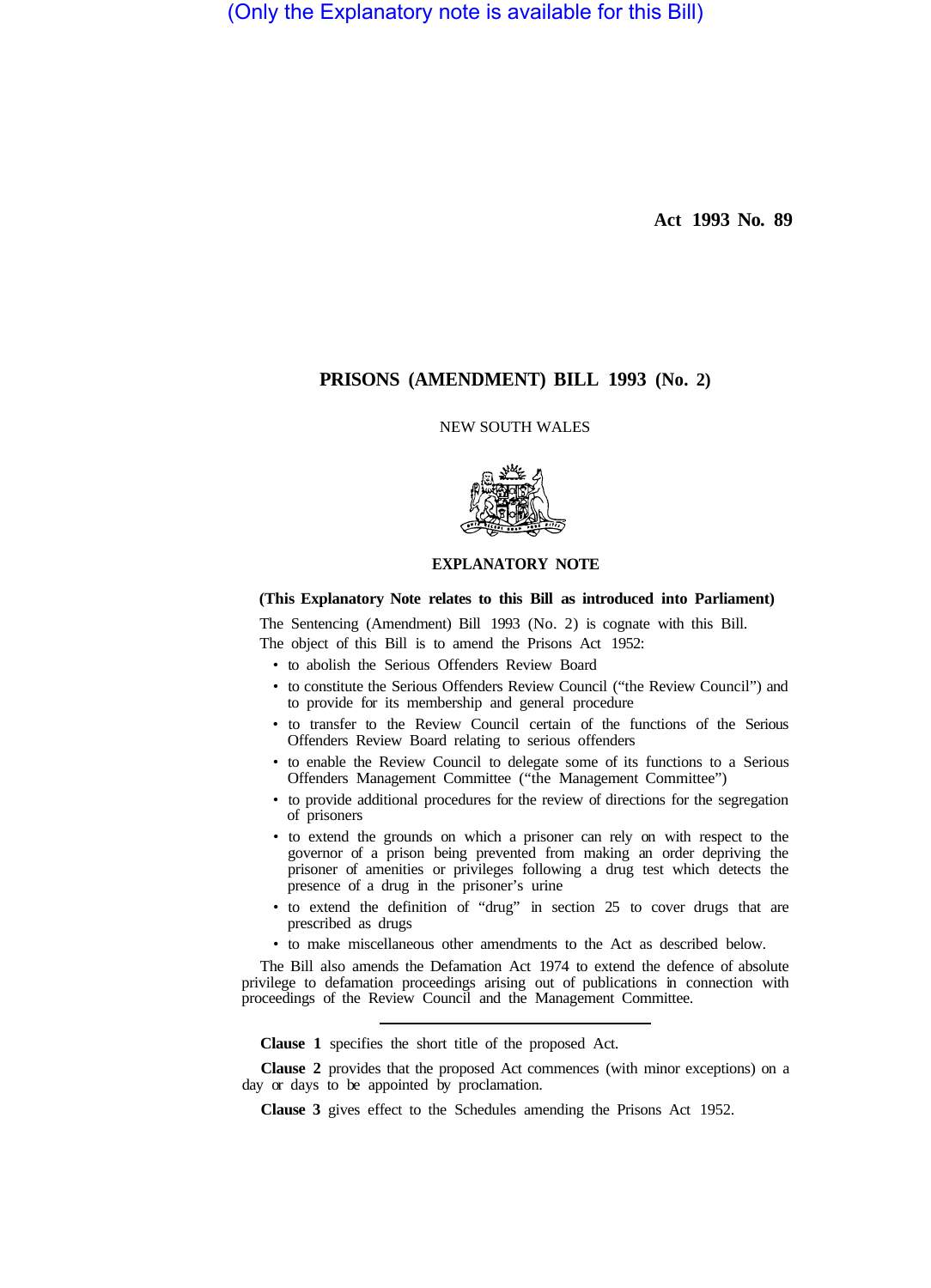(Only the Explanatory note is available for this Bill)

**Act 1993 No. 89** 

# **PRISONS (AMENDMENT) BILL 1993 (No. 2)**

#### NEW SOUTH WALES



## **EXPLANATORY NOTE**

## **(This Explanatory Note relates to this Bill as introduced into Parliament)**

The Sentencing (Amendment) Bill 1993 (No. 2) is cognate with this Bill. The object of this Bill is to amend the Prisons Act 1952:

- to abolish the Serious Offenders Review Board
- to constitute the Serious Offenders Review Council ("the Review Council") and to provide for its membership and general procedure
- to transfer to the Review Council certain of the functions of the Serious Offenders Review Board relating to serious offenders
- to enable the Review Council to delegate some of its functions to a Serious Offenders Management Committee ("the Management Committee")
- to provide additional procedures for the review of directions for the segregation of prisoners
- to extend the grounds on which a prisoner can rely on with respect to the governor of a prison being prevented from making an order depriving the prisoner of amenities or privileges following a drug test which detects the presence of a drug in the prisoner's urine
- to extend the definition of "drug" in section 25 to cover drugs that are prescribed as drugs
- to make miscellaneous other amendments to the Act as described below.

The Bill also amends the Defamation Act 1974 to extend the defence of absolute privilege to defamation proceedings arising out of publications in connection with proceedings of the Review Council and the Management Committee.

**Clause 1** specifies the short title of the proposed Act.

**Clause 2** provides that the proposed Act commences (with minor exceptions) on a day or days to be appointed by proclamation.

**Clause 3** gives effect to the Schedules amending the Prisons Act 1952.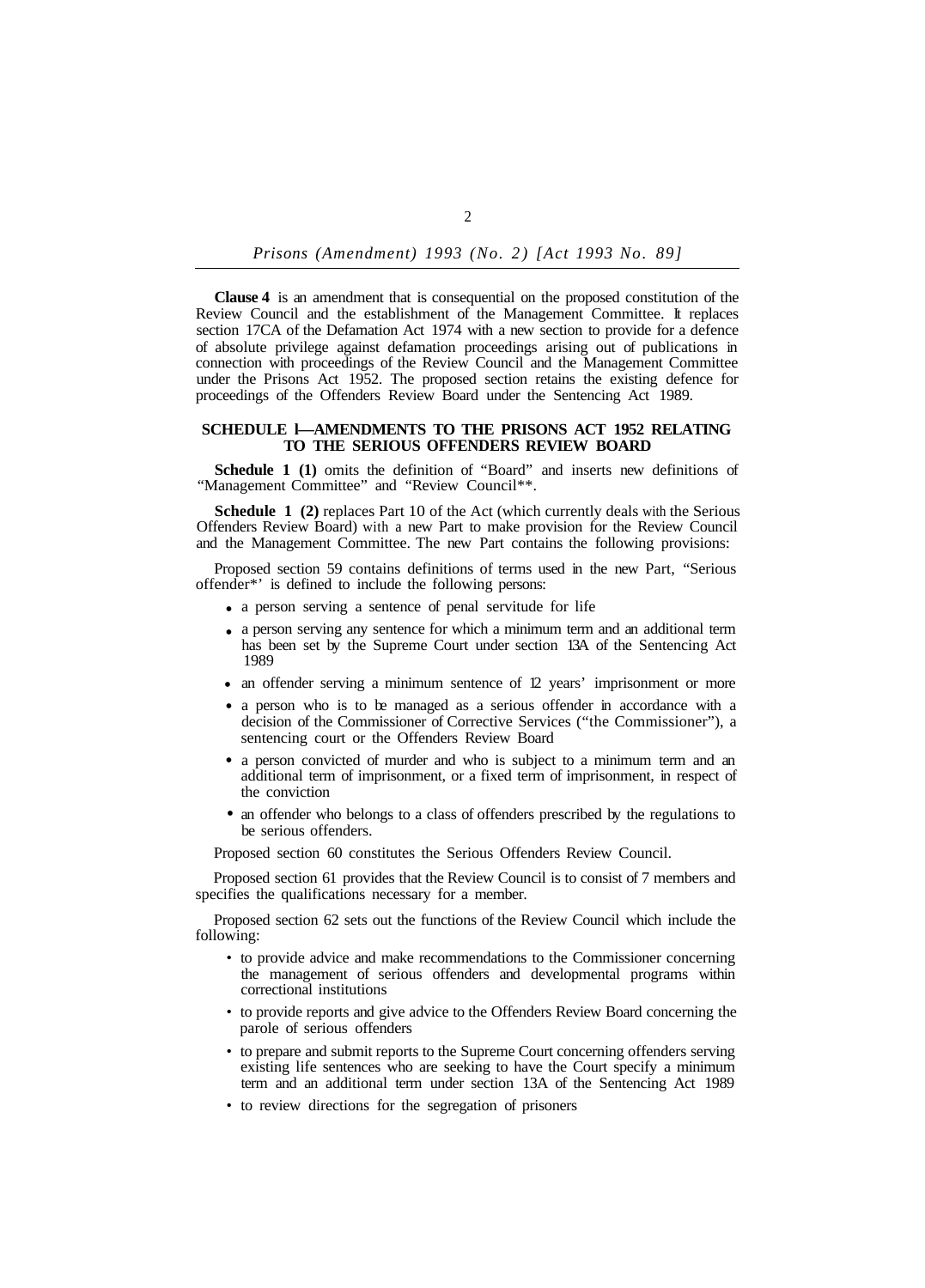*Prisons (Amendment) 1993 (No. 2) [Act 1993 No. 89]* 

**Clause 4** is an amendment that is consequential on the proposed constitution of the Review Council and the establishment of the Management Committee. It replaces section 17CA of the Defamation Act 1974 with a new section to provide for a defence of absolute privilege against defamation proceedings arising out of publications in connection with proceedings of the Review Council and the Management Committee under the Prisons Act 1952. The proposed section retains the existing defence for proceedings of the Offenders Review Board under the Sentencing Act 1989.

### **SCHEDULE l—AMENDMENTS TO THE PRISONS ACT 1952 RELATING TO THE SERIOUS OFFENDERS REVIEW BOARD**

**Schedule 1 (1)** omits the definition of "Board" and inserts new definitions of "Management Committee" and "Review Council\*\*.

**Schedule 1 (2)** replaces Part 10 of the Act (which currently deals with the Serious Offenders Review Board) with a new Part to make provision for the Review Council and the Management Committee. The new Part contains the following provisions:

Proposed section 59 contains definitions of terms used in the new Part, "Serious offender\*' is defined to include the following persons:

- a person serving a sentence of penal servitude for life •
- a person serving any sentence for which a minimum term and an additional term has been set by the Supreme Court under section 13A of the Sentencing Act 1989
- an offender serving a minimum sentence of 12 years' imprisonment or more
- a person who is to be managed as a serious offender in accordance with a decision of the Commissioner of Corrective Services ("the Commissioner"), a sentencing court or the Offenders Review Board
- a person convicted of murder and who is subject to a minimum term and an additional term of imprisonment, or a fixed term of imprisonment, in respect of the conviction
- an offender who belongs to a class of offenders prescribed by the regulations to be serious offenders.

Proposed section 60 constitutes the Serious Offenders Review Council.

Proposed section 61 provides that the Review Council is to consist of 7 members and specifies the qualifications necessary for a member.

Proposed section 62 sets out the functions of the Review Council which include the following:

- to provide advice and make recommendations to the Commissioner concerning the management of serious offenders and developmental programs within correctional institutions
- to provide reports and give advice to the Offenders Review Board concerning the parole of serious offenders
- to prepare and submit reports to the Supreme Court concerning offenders serving existing life sentences who are seeking to have the Court specify a minimum term and an additional term under section 13A of the Sentencing Act 1989
- to review directions for the segregation of prisoners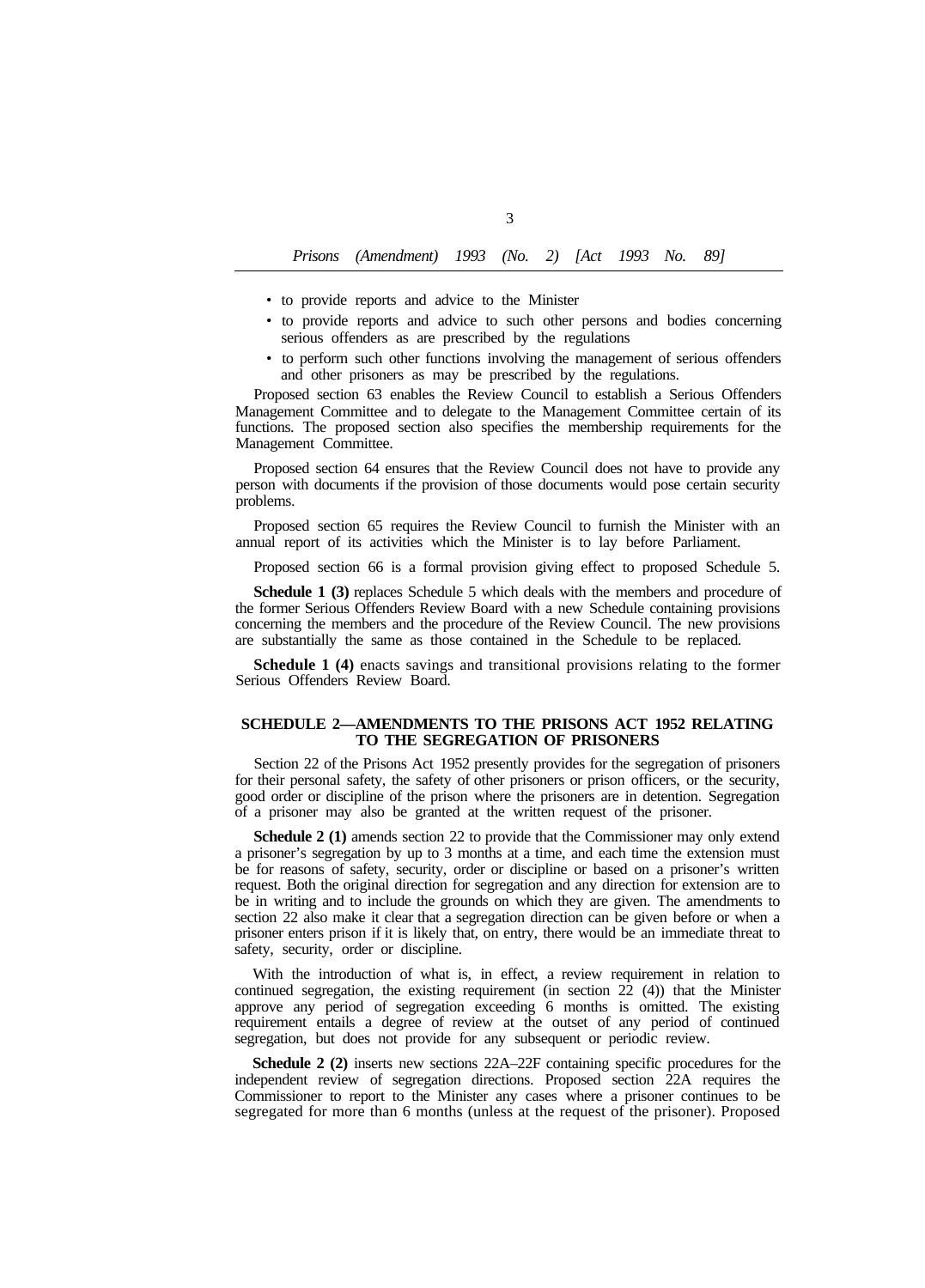- to provide reports and advice to the Minister
- to provide reports and advice to such other persons and bodies concerning serious offenders as are prescribed by the regulations
- to perform such other functions involving the management of serious offenders and other prisoners as may be prescribed by the regulations.

Proposed section 63 enables the Review Council to establish a Serious Offenders Management Committee and to delegate to the Management Committee certain of its functions. The proposed section also specifies the membership requirements for the Management Committee.

Proposed section 64 ensures that the Review Council does not have to provide any person with documents if the provision of those documents would pose certain security problems.

Proposed section 65 requires the Review Council to furnish the Minister with an annual report of its activities which the Minister is to lay before Parliament.

Proposed section 66 is a formal provision giving effect to proposed Schedule 5.

**Schedule 1 (3)** replaces Schedule 5 which deals with the members and procedure of the former Serious Offenders Review Board with a new Schedule containing provisions concerning the members and the procedure of the Review Council. The new provisions are substantially the same as those contained in the Schedule to be replaced.

**Schedule 1 (4)** enacts savings and transitional provisions relating to the former Serious Offenders Review Board.

### **SCHEDULE 2—AMENDMENTS TO THE PRISONS ACT 1952 RELATING TO THE SEGREGATION OF PRISONERS**

Section 22 of the Prisons Act 1952 presently provides for the segregation of prisoners for their personal safety, the safety of other prisoners or prison officers, or the security, good order or discipline of the prison where the prisoners are in detention. Segregation of a prisoner may also be granted at the written request of the prisoner.

**Schedule 2 (1)** amends section 22 to provide that the Commissioner may only extend a prisoner's segregation by up to 3 months at a time, and each time the extension must be for reasons of safety, security, order or discipline or based on a prisoner's written request. Both the original direction for segregation and any direction for extension are to be in writing and to include the grounds on which they are given. The amendments to section 22 also make it clear that a segregation direction can be given before or when a prisoner enters prison if it is likely that, on entry, there would be an immediate threat to safety, security, order or discipline.

With the introduction of what is, in effect, a review requirement in relation to continued segregation, the existing requirement (in section 22 (4)) that the Minister approve any period of segregation exceeding 6 months is omitted. The existing requirement entails a degree of review at the outset of any period of continued segregation, but does not provide for any subsequent or periodic review.

**Schedule 2 (2)** inserts new sections 22A–22F containing specific procedures for the independent review of segregation directions. Proposed section 22A requires the Commissioner to report to the Minister any cases where a prisoner continues to be segregated for more than 6 months (unless at the request of the prisoner). Proposed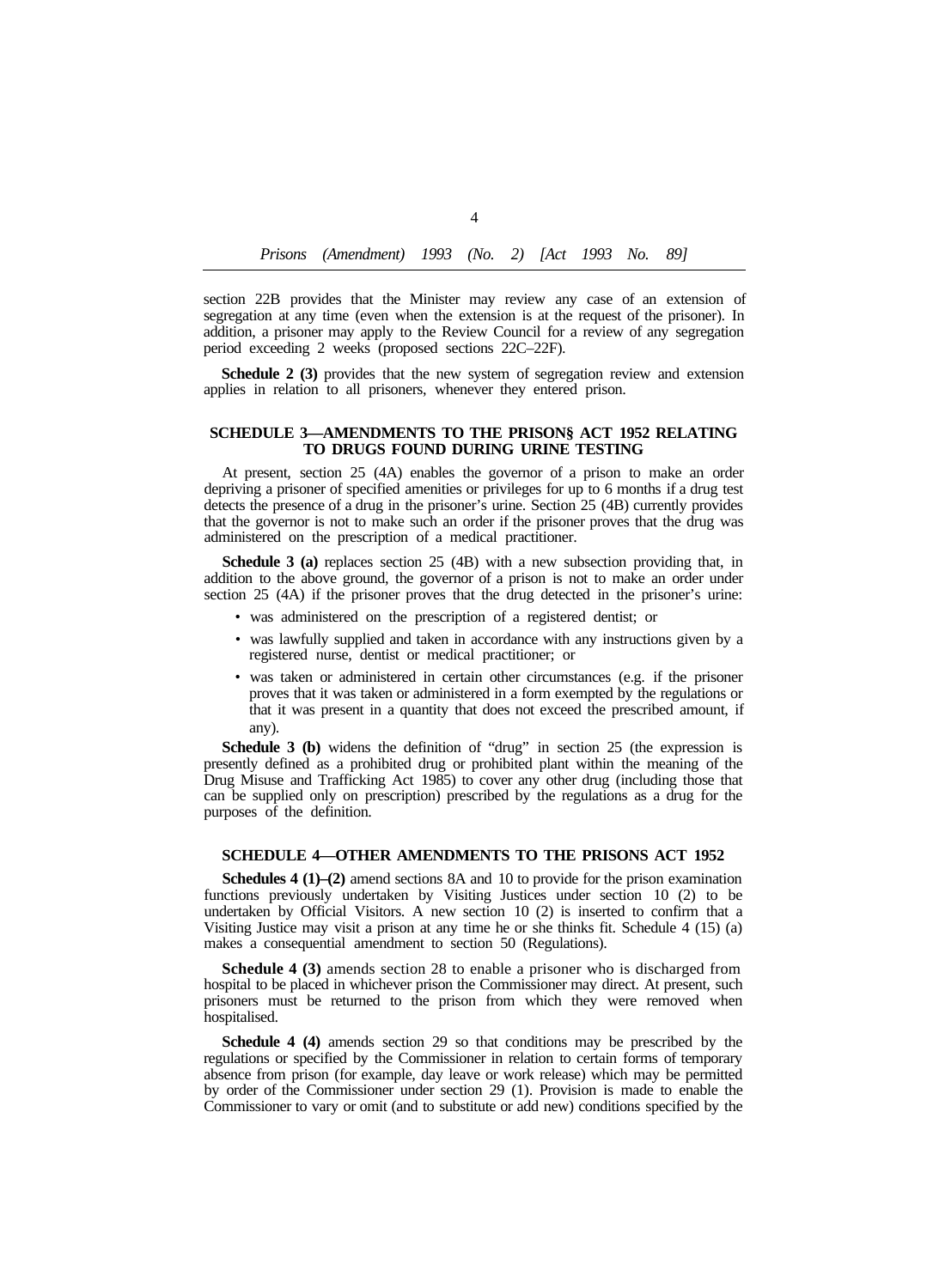section 22B provides that the Minister may review any case of an extension of segregation at any time (even when the extension is at the request of the prisoner). In addition, a prisoner may apply to the Review Council for a review of any segregation period exceeding 2 weeks (proposed sections 22C–22F).

**Schedule 2 (3)** provides that the new system of segregation review and extension applies in relation to all prisoners, whenever they entered prison.

#### **SCHEDULE 3—AMENDMENTS TO THE PRISON§ ACT 1952 RELATING TO DRUGS FOUND DURING URINE TESTING**

At present, section 25 (4A) enables the governor of a prison to make an order depriving a prisoner of specified amenities or privileges for up to 6 months if a drug test detects the presence of a drug in the prisoner's urine. Section 25 (4B) currently provides that the governor is not to make such an order if the prisoner proves that the drug was administered on the prescription of a medical practitioner.

**Schedule 3 (a)** replaces section 25 (4B) with a new subsection providing that, in addition to the above ground, the governor of a prison is not to make an order under section 25 (4A) if the prisoner proves that the drug detected in the prisoner's urine:

- was administered on the prescription of a registered dentist; or
- was lawfully supplied and taken in accordance with any instructions given by a registered nurse, dentist or medical practitioner; or
- was taken or administered in certain other circumstances (e.g. if the prisoner proves that it was taken or administered in a form exempted by the regulations or that it was present in a quantity that does not exceed the prescribed amount, if any).

**Schedule 3 (b)** widens the definition of "drug" in section 25 (the expression is presently defined as a prohibited drug or prohibited plant within the meaning of the Drug Misuse and Trafficking Act 1985) to cover any other drug (including those that can be supplied only on prescription) prescribed by the regulations as a drug for the purposes of the definition.

## **SCHEDULE 4—OTHER AMENDMENTS TO THE PRISONS ACT 1952**

**Schedules 4 (1)–(2)** amend sections 8A and 10 to provide for the prison examination functions previously undertaken by Visiting Justices under section 10 (2) to be undertaken by Official Visitors. A new section 10 (2) is inserted to confirm that a Visiting Justice may visit a prison at any time he or she thinks fit. Schedule 4 (15) (a) makes a consequential amendment to section 50 (Regulations).

**Schedule 4 (3)** amends section 28 to enable a prisoner who is discharged from hospital to be placed in whichever prison the Commissioner may direct. At present, such prisoners must be returned to the prison from which they were removed when hospitalised.

**Schedule 4 (4)** amends section 29 so that conditions may be prescribed by the regulations or specified by the Commissioner in relation to certain forms of temporary absence from prison (for example, day leave or work release) which may be permitted by order of the Commissioner under section 29 (1). Provision is made to enable the Commissioner to vary or omit (and to substitute or add new) conditions specified by the